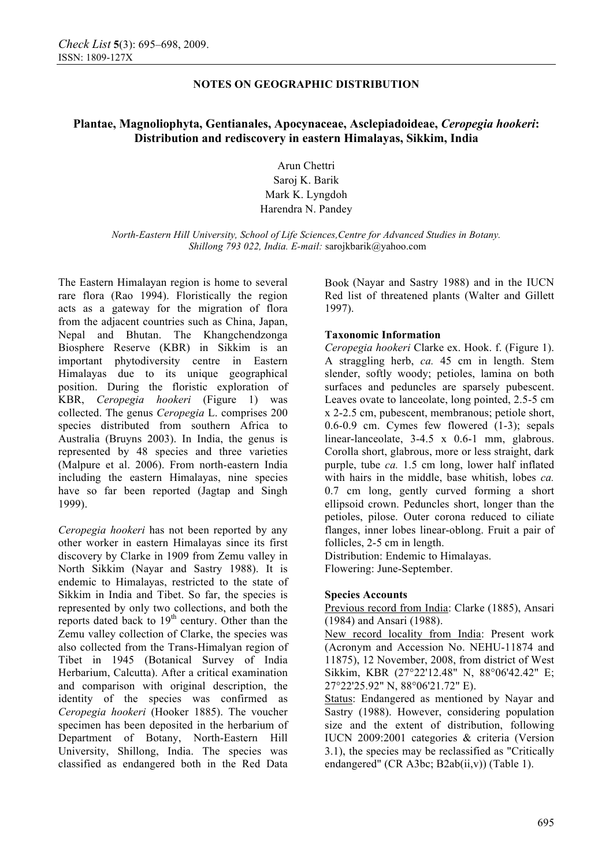# **Plantae, Magnoliophyta, Gentianales, Apocynaceae, Asclepiadoideae,** *Ceropegia hookeri***: Distribution and rediscovery in eastern Himalayas, Sikkim, India**

Arun Chettri Saroj K. Barik Mark K. Lyngdoh Harendra N. Pandey

*North-Eastern Hill University, School of Life Sciences,Centre for Advanced Studies in Botany. Shillong 793 022, India. E-mail:* sarojkbarik@yahoo.com

The Eastern Himalayan region is home to several rare flora (Rao 1994). Floristically the region acts as a gateway for the migration of flora from the adjacent countries such as China, Japan, Nepal and Bhutan. The Khangchendzonga Biosphere Reserve (KBR) in Sikkim is an important phytodiversity centre in Eastern Himalayas due to its unique geographical position. During the floristic exploration of KBR, *Ceropegia hookeri* (Figure 1) was collected. The genus *Ceropegia* L. comprises 200 species distributed from southern Africa to Australia (Bruyns 2003). In India, the genus is represented by 48 species and three varieties (Malpure et al. 2006). From north-eastern India including the eastern Himalayas, nine species have so far been reported (Jagtap and Singh 1999).

*Ceropegia hookeri* has not been reported by any other worker in eastern Himalayas since its first discovery by Clarke in 1909 from Zemu valley in North Sikkim (Nayar and Sastry 1988). It is endemic to Himalayas, restricted to the state of Sikkim in India and Tibet. So far, the species is represented by only two collections, and both the reports dated back to  $19<sup>th</sup>$  century. Other than the Zemu valley collection of Clarke, the species was also collected from the Trans-Himalyan region of Tibet in 1945 (Botanical Survey of India Herbarium, Calcutta). After a critical examination and comparison with original description, the identity of the species was confirmed as *Ceropegia hookeri* (Hooker 1885). The voucher specimen has been deposited in the herbarium of Department of Botany, North-Eastern Hill University, Shillong, India. The species was classified as endangered both in the Red Data

Book (Nayar and Sastry 1988) and in the IUCN Red list of threatened plants (Walter and Gillett 1997).

### **Taxonomic Information**

*Ceropegia hookeri* Clarke ex. Hook. f. (Figure 1). A straggling herb, *ca.* 45 cm in length. Stem slender, softly woody; petioles, lamina on both surfaces and peduncles are sparsely pubescent. Leaves ovate to lanceolate, long pointed, 2.5-5 cm x 2-2.5 cm, pubescent, membranous; petiole short, 0.6-0.9 cm. Cymes few flowered (1-3); sepals linear-lanceolate, 3-4.5 x 0.6-1 mm, glabrous. Corolla short, glabrous, more or less straight, dark purple, tube *ca.* 1.5 cm long, lower half inflated with hairs in the middle, base whitish, lobes *ca.* 0.7 cm long, gently curved forming a short ellipsoid crown. Peduncles short, longer than the petioles, pilose. Outer corona reduced to ciliate flanges, inner lobes linear-oblong. Fruit a pair of follicles, 2-5 cm in length.

Distribution: Endemic to Himalayas. Flowering: June-September.

#### **Species Accounts**

Previous record from India: Clarke (1885), Ansari (1984) and Ansari (1988).

New record locality from India: Present work (Acronym and Accession No. NEHU-11874 and 11875), 12 November, 2008, from district of West Sikkim, KBR (27°22'12.48" N, 88°06'42.42" E; 27°22'25.92" N, 88°06'21.72" E).

Status: Endangered as mentioned by Nayar and Sastry (1988). However, considering population size and the extent of distribution, following IUCN 2009:2001 categories & criteria (Version 3.1), the species may be reclassified as "Critically endangered" (CR A3bc; B2ab(ii,v)) (Table 1).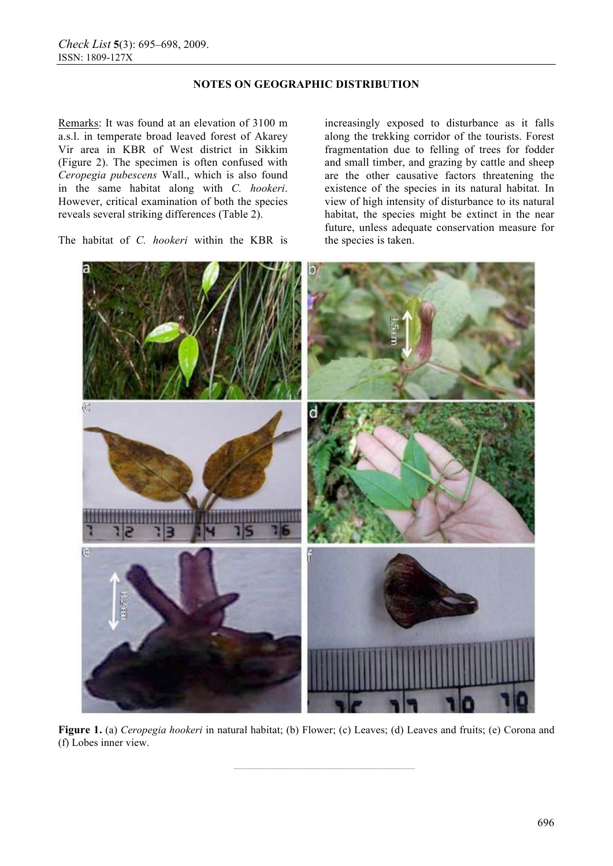Remarks: It was found at an elevation of 3100 m a.s.l. in temperate broad leaved forest of Akarey Vir area in KBR of West district in Sikkim (Figure 2). The specimen is often confused with *Ceropegia pubescens* Wall., which is also found in the same habitat along with *C. hookeri*. However, critical examination of both the species reveals several striking differences (Table 2).

The habitat of *C. hookeri* within the KBR is

increasingly exposed to disturbance as it falls along the trekking corridor of the tourists. Forest fragmentation due to felling of trees for fodder and small timber, and grazing by cattle and sheep are the other causative factors threatening the existence of the species in its natural habitat. In view of high intensity of disturbance to its natural habitat, the species might be extinct in the near future, unless adequate conservation measure for the species is taken.



**Figure 1.** (a) *Ceropegia hookeri* in natural habitat; (b) Flower; (c) Leaves; (d) Leaves and fruits; (e) Corona and (f) Lobes inner view.

**————————————————**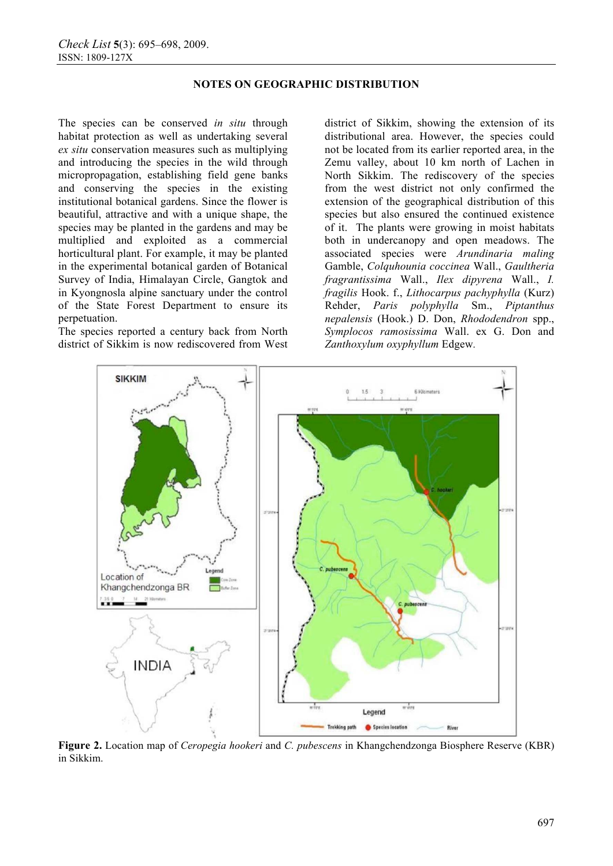The species can be conserved *in situ* through habitat protection as well as undertaking several *ex situ* conservation measures such as multiplying and introducing the species in the wild through micropropagation, establishing field gene banks and conserving the species in the existing institutional botanical gardens. Since the flower is beautiful, attractive and with a unique shape, the species may be planted in the gardens and may be multiplied and exploited as a commercial horticultural plant. For example, it may be planted in the experimental botanical garden of Botanical Survey of India, Himalayan Circle, Gangtok and in Kyongnosla alpine sanctuary under the control of the State Forest Department to ensure its perpetuation.

The species reported a century back from North district of Sikkim is now rediscovered from West

district of Sikkim, showing the extension of its distributional area. However, the species could not be located from its earlier reported area, in the Zemu valley, about 10 km north of Lachen in North Sikkim. The rediscovery of the species from the west district not only confirmed the extension of the geographical distribution of this species but also ensured the continued existence of it. The plants were growing in moist habitats both in undercanopy and open meadows. The associated species were *Arundinaria maling* Gamble, *Colquhounia coccinea* Wall., *Gaultheria fragrantissima* Wall., *Ilex dipyrena* Wall., *I. fragilis* Hook. f., *Lithocarpus pachyphylla* (Kurz) Rehder, *Paris polyphylla* Sm., *Piptanthus nepalensis* (Hook.) D. Don, *Rhododendron* spp., *Symplocos ramosissima* Wall. ex G. Don and *Zanthoxylum oxyphyllum* Edgew*.*



**Figure 2.** Location map of *Ceropegia hookeri* and *C. pubescens* in Khangchendzonga Biosphere Reserve (KBR) in Sikkim.